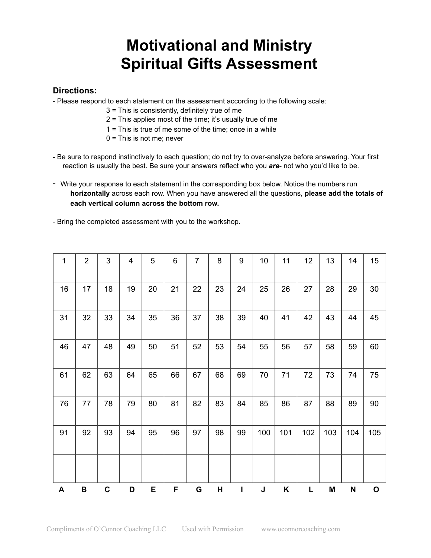## **Motivational and Ministry Spiritual Gifts Assessment**

## **Directions:**

- Please respond to each statement on the assessment according to the following scale:
	- 3 = This is consistently, definitely true of me
	- 2 = This applies most of the time; it's usually true of me
	- 1 = This is true of me some of the time; once in a while
	- $0 =$ This is not me; never
- Be sure to respond instinctively to each question; do not try to over-analyze before answering. Your first reaction is usually the best. Be sure your answers reflect who you *are*- not who you'd like to be.
- Write your response to each statement in the corresponding box below. Notice the numbers run **horizontally** across each row. When you have answered all the questions, **please add the totals of each vertical column across the bottom row.**
- Bring the completed assessment with you to the workshop.

| 1  | $\overline{2}$    | 3           | $\overline{4}$ | 5  | 6  | $\overline{7}$ | 8  | 9  | 10  | 11  | 12  | 13  | 14  | 15           |
|----|-------------------|-------------|----------------|----|----|----------------|----|----|-----|-----|-----|-----|-----|--------------|
| 16 | 17                | 18          | 19             | 20 | 21 | 22             | 23 | 24 | 25  | 26  | 27  | 28  | 29  | 30           |
| 31 | 32                | 33          | 34             | 35 | 36 | 37             | 38 | 39 | 40  | 41  | 42  | 43  | 44  | 45           |
| 46 | 47                | 48          | 49             | 50 | 51 | 52             | 53 | 54 | 55  | 56  | 57  | 58  | 59  | 60           |
| 61 | 62                | 63          | 64             | 65 | 66 | 67             | 68 | 69 | 70  | 71  | 72  | 73  | 74  | 75           |
| 76 | 77                | 78          | 79             | 80 | 81 | 82             | 83 | 84 | 85  | 86  | 87  | 88  | 89  | 90           |
| 91 | 92                | 93          | 94             | 95 | 96 | 97             | 98 | 99 | 100 | 101 | 102 | 103 | 104 | 105          |
|    |                   |             |                |    |    |                |    |    |     |     |     |     |     |              |
| A  | $\pmb{\mathsf B}$ | $\mathbf C$ | D              | E  | F  | G              | H  | T  | J   | Κ   | L   | M   | N   | $\mathbf{o}$ |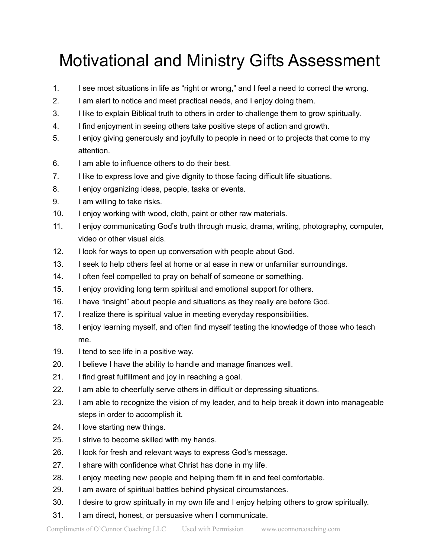## Motivational and Ministry Gifts Assessment

- 1. I see most situations in life as "right or wrong," and I feel a need to correct the wrong.
- 2. I am alert to notice and meet practical needs, and I enjoy doing them.
- 3. I like to explain Biblical truth to others in order to challenge them to grow spiritually.
- 4. I find enjoyment in seeing others take positive steps of action and growth.
- 5. I enjoy giving generously and joyfully to people in need or to projects that come to my attention.
- 6. I am able to influence others to do their best.
- 7. I like to express love and give dignity to those facing difficult life situations.
- 8. I enjoy organizing ideas, people, tasks or events.
- 9. I am willing to take risks.
- 10. I enjoy working with wood, cloth, paint or other raw materials.
- 11. I enjoy communicating God's truth through music, drama, writing, photography, computer, video or other visual aids.
- 12. I look for ways to open up conversation with people about God.
- 13. I seek to help others feel at home or at ease in new or unfamiliar surroundings.
- 14. I often feel compelled to pray on behalf of someone or something.
- 15. I enjoy providing long term spiritual and emotional support for others.
- 16. I have "insight" about people and situations as they really are before God.
- 17. I realize there is spiritual value in meeting everyday responsibilities.
- 18. I enjoy learning myself, and often find myself testing the knowledge of those who teach me.
- 19. I tend to see life in a positive way.
- 20. I believe I have the ability to handle and manage finances well.
- 21. I find great fulfillment and joy in reaching a goal.
- 22. I am able to cheerfully serve others in difficult or depressing situations.
- 23. I am able to recognize the vision of my leader, and to help break it down into manageable steps in order to accomplish it.
- 24. I love starting new things.
- 25. I strive to become skilled with my hands.
- 26. I look for fresh and relevant ways to express God's message.
- 27. I share with confidence what Christ has done in my life.
- 28. I enjoy meeting new people and helping them fit in and feel comfortable.
- 29. I am aware of spiritual battles behind physical circumstances.
- 30. I desire to grow spiritually in my own life and I enjoy helping others to grow spiritually.
- 31. I am direct, honest, or persuasive when I communicate.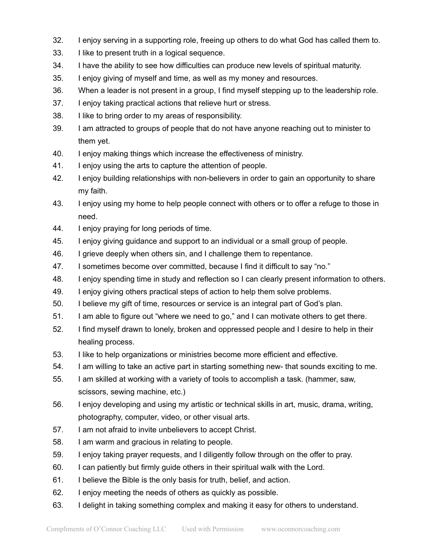- 32. I enjoy serving in a supporting role, freeing up others to do what God has called them to.
- 33. I like to present truth in a logical sequence.
- 34. I have the ability to see how difficulties can produce new levels of spiritual maturity.
- 35. I enjoy giving of myself and time, as well as my money and resources.
- 36. When a leader is not present in a group, I find myself stepping up to the leadership role.
- 37. I enjoy taking practical actions that relieve hurt or stress.
- 38. I like to bring order to my areas of responsibility.
- 39. I am attracted to groups of people that do not have anyone reaching out to minister to them yet.
- 40. I enjoy making things which increase the effectiveness of ministry.
- 41. I enjoy using the arts to capture the attention of people.
- 42. I enjoy building relationships with non-believers in order to gain an opportunity to share my faith.
- 43. I enjoy using my home to help people connect with others or to offer a refuge to those in need.
- 44. I enjoy praying for long periods of time.
- 45. I enjoy giving guidance and support to an individual or a small group of people.
- 46. I grieve deeply when others sin, and I challenge them to repentance.
- 47. I sometimes become over committed, because I find it difficult to say "no."
- 48. I enjoy spending time in study and reflection so I can clearly present information to others.
- 49. I enjoy giving others practical steps of action to help them solve problems.
- 50. I believe my gift of time, resources or service is an integral part of God's plan.
- 51. I am able to figure out "where we need to go," and I can motivate others to get there.
- 52. I find myself drawn to lonely, broken and oppressed people and I desire to help in their healing process.
- 53. I like to help organizations or ministries become more efficient and effective.
- 54. I am willing to take an active part in starting something new- that sounds exciting to me.
- 55. I am skilled at working with a variety of tools to accomplish a task. (hammer, saw, scissors, sewing machine, etc.)
- 56. I enjoy developing and using my artistic or technical skills in art, music, drama, writing, photography, computer, video, or other visual arts.
- 57. I am not afraid to invite unbelievers to accept Christ.
- 58. I am warm and gracious in relating to people.
- 59. I enjoy taking prayer requests, and I diligently follow through on the offer to pray.
- 60. I can patiently but firmly guide others in their spiritual walk with the Lord.
- 61. I believe the Bible is the only basis for truth, belief, and action.
- 62. I enjoy meeting the needs of others as quickly as possible.
- 63. I delight in taking something complex and making it easy for others to understand.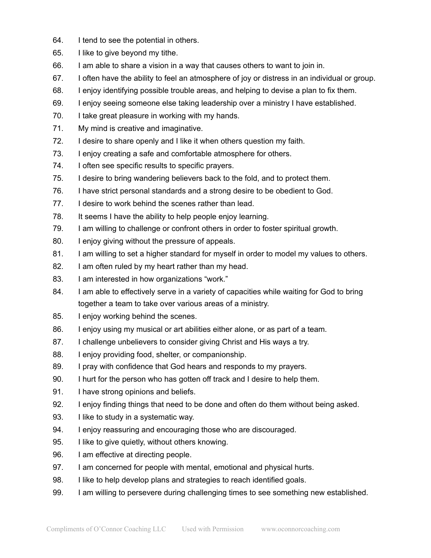- 64. I tend to see the potential in others.
- 65. I like to give beyond my tithe.
- 66. I am able to share a vision in a way that causes others to want to join in.
- 67. I often have the ability to feel an atmosphere of joy or distress in an individual or group.
- 68. I enjoy identifying possible trouble areas, and helping to devise a plan to fix them.
- 69. I enjoy seeing someone else taking leadership over a ministry I have established.
- 70. I take great pleasure in working with my hands.
- 71. My mind is creative and imaginative.
- 72. I desire to share openly and I like it when others question my faith.
- 73. I enjoy creating a safe and comfortable atmosphere for others.
- 74. I often see specific results to specific prayers.
- 75. I desire to bring wandering believers back to the fold, and to protect them.
- 76. I have strict personal standards and a strong desire to be obedient to God.
- 77. I desire to work behind the scenes rather than lead.
- 78. It seems I have the ability to help people enjoy learning.
- 79. I am willing to challenge or confront others in order to foster spiritual growth.
- 80. I enjoy giving without the pressure of appeals.
- 81. I am willing to set a higher standard for myself in order to model my values to others.
- 82. I am often ruled by my heart rather than my head.
- 83. I am interested in how organizations "work."
- 84. I am able to effectively serve in a variety of capacities while waiting for God to bring together a team to take over various areas of a ministry.
- 85. I enjoy working behind the scenes.
- 86. I enjoy using my musical or art abilities either alone, or as part of a team.
- 87. I challenge unbelievers to consider giving Christ and His ways a try.
- 88. I enjoy providing food, shelter, or companionship.
- 89. I pray with confidence that God hears and responds to my prayers.
- 90. I hurt for the person who has gotten off track and I desire to help them.
- 91. I have strong opinions and beliefs.
- 92. I enjoy finding things that need to be done and often do them without being asked.
- 93. I like to study in a systematic way.
- 94. I enjoy reassuring and encouraging those who are discouraged.
- 95. I like to give quietly, without others knowing.
- 96. I am effective at directing people.
- 97. I am concerned for people with mental, emotional and physical hurts.
- 98. I like to help develop plans and strategies to reach identified goals.
- 99. I am willing to persevere during challenging times to see something new established.